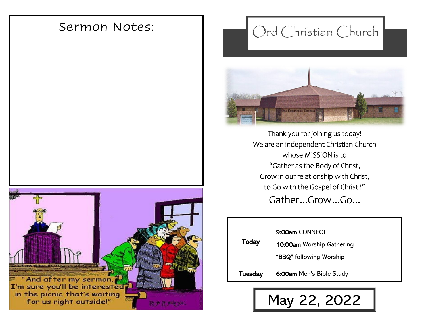# Sermon Notes:



# Ord Christian Church



Thank you for joining us today! We are an independent Christian Church whose MISSION is to "Gather as the Body of Christ, Grow in our relationship with Christ, to Go with the Gospel of Christ !" Gather...Grow...Go...

| Today   | 9:00am CONNECT<br>10:00am Worship Gathering<br>"BBQ" following Worship |
|---------|------------------------------------------------------------------------|
| Tuesday | 6:00am Men's Bible Study                                               |